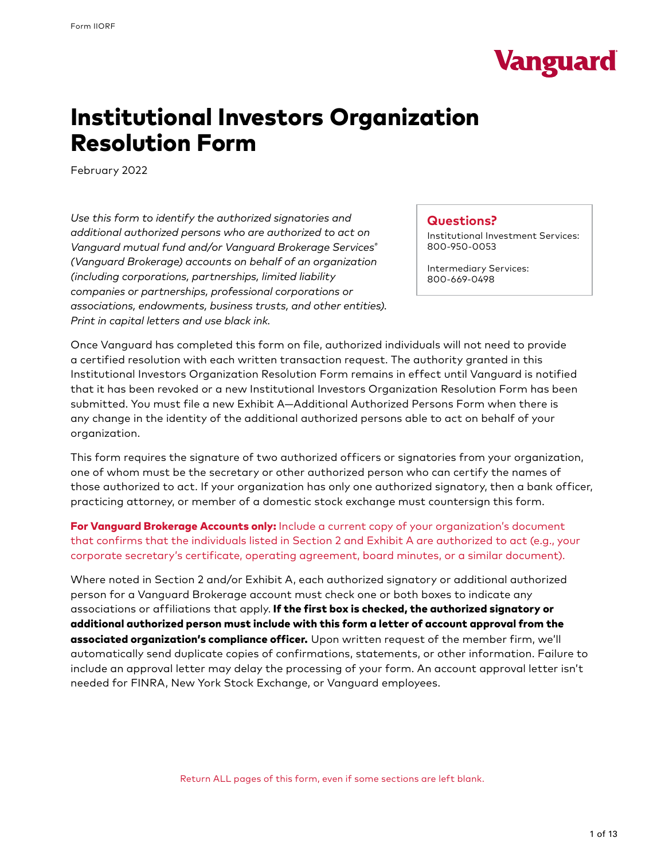

# Institutional Investors Organization Resolution Form

February 2022

*Use this form to identify the authorized signatories and additional authorized persons who are authorized to act on Vanguard mutual fund and/or Vanguard Brokerage Services® (Vanguard Brokerage) accounts on behalf of an organization (including corporations, partnerships, limited liability companies or partnerships, professional corporations or associations, endowments, business trusts, and other entities). Print in capital letters and use black ink.*

### **Questions?**

Institutional Investment Services: 800-950-0053

Intermediary Services: 800-669-0498

Once Vanguard has completed this form on file, authorized individuals will not need to provide a certified resolution with each written transaction request. The authority granted in this Institutional Investors Organization Resolution Form remains in effect until Vanguard is notified that it has been revoked or a new Institutional Investors Organization Resolution Form has been submitted. You must file a new Exhibit A—Additional Authorized Persons Form when there is any change in the identity of the additional authorized persons able to act on behalf of your organization.

This form requires the signature of two authorized officers or signatories from your organization, one of whom must be the secretary or other authorized person who can certify the names of those authorized to act. If your organization has only one authorized signatory, then a bank officer, practicing attorney, or member of a domestic stock exchange must countersign this form.

For Vanguard Brokerage Accounts only: Include a current copy of your organization's document that confirms that the individuals listed in Section 2 and Exhibit A are authorized to act (e.g., your corporate secretary's certificate, operating agreement, board minutes, or a similar document).

Where noted in Section 2 and/or Exhibit A, each authorized signatory or additional authorized person for a Vanguard Brokerage account must check one or both boxes to indicate any associations or affiliations that apply. If the first box is checked, the authorized signatory or additional authorized person must include with this form a letter of account approval from the associated organization's compliance officer. Upon written request of the member firm, we'll automatically send duplicate copies of confirmations, statements, or other information. Failure to include an approval letter may delay the processing of your form. An account approval letter isn't needed for FINRA, New York Stock Exchange, or Vanguard employees.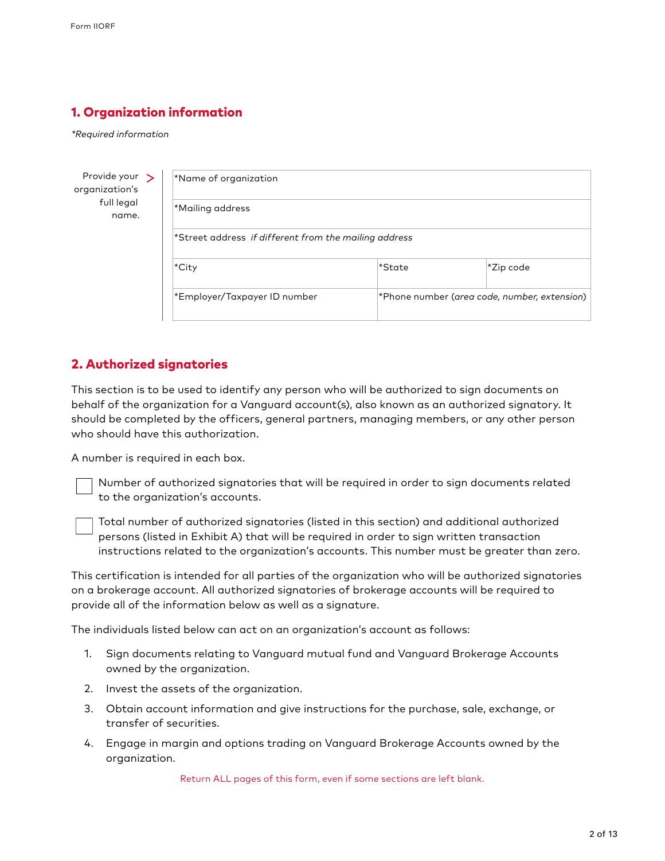## 1. Organization information

*\*Required information*

| Provide your $\rightarrow$<br>organization's | *Name of organization                                        |                                              |           |
|----------------------------------------------|--------------------------------------------------------------|----------------------------------------------|-----------|
| full legal<br>name.                          | *Mailing address                                             |                                              |           |
|                                              | $\star$ Street address if different from the mailing address |                                              |           |
|                                              | *City                                                        | *State                                       | *Zip code |
|                                              | *Employer/Taxpayer ID number                                 | *Phone number (area code, number, extension) |           |

## 2. Authorized signatories

This section is to be used to identify any person who will be authorized to sign documents on behalf of the organization for a Vanguard account(s), also known as an authorized signatory. It should be completed by the officers, general partners, managing members, or any other person who should have this authorization.

A number is required in each box.

Number of authorized signatories that will be required in order to sign documents related to the organization's accounts.

Total number of authorized signatories (listed in this section) and additional authorized persons (listed in Exhibit A) that will be required in order to sign written transaction instructions related to the organization's accounts. This number must be greater than zero.

This certification is intended for all parties of the organization who will be authorized signatories on a brokerage account. All authorized signatories of brokerage accounts will be required to provide all of the information below as well as a signature.

The individuals listed below can act on an organization's account as follows:

- 1. Sign documents relating to Vanguard mutual fund and Vanguard Brokerage Accounts owned by the organization.
- 2. Invest the assets of the organization.
- 3. Obtain account information and give instructions for the purchase, sale, exchange, or transfer of securities.
- 4. Engage in margin and options trading on Vanguard Brokerage Accounts owned by the organization.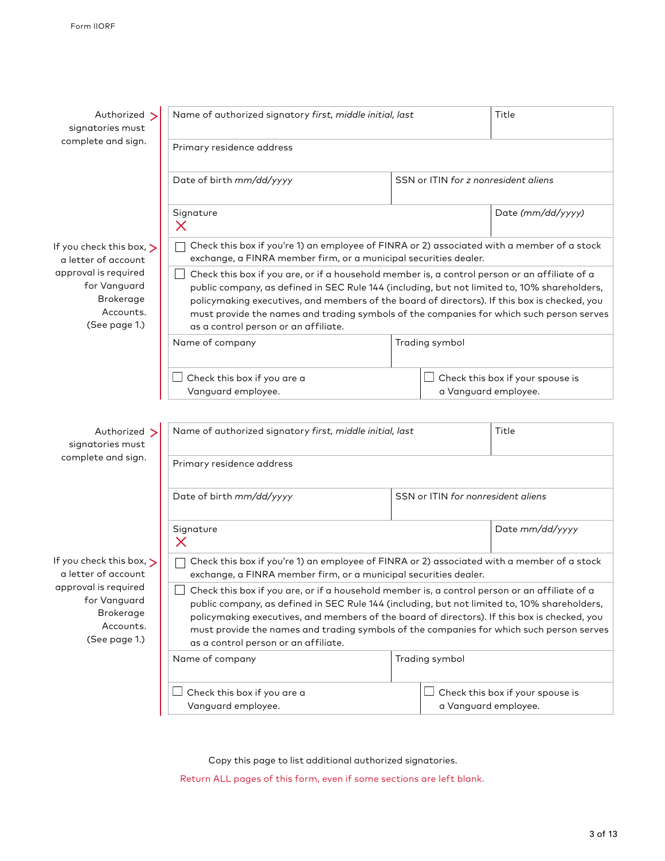| Authorized ><br>signatories must                                                       | Name of authorized signatory first, middle initial, last                                                                                                                                                                                                                                                                                                                                                                          |                | Title                                                           |  |
|----------------------------------------------------------------------------------------|-----------------------------------------------------------------------------------------------------------------------------------------------------------------------------------------------------------------------------------------------------------------------------------------------------------------------------------------------------------------------------------------------------------------------------------|----------------|-----------------------------------------------------------------|--|
| complete and sign.                                                                     | Primary residence address                                                                                                                                                                                                                                                                                                                                                                                                         |                |                                                                 |  |
|                                                                                        | Date of birth mm/dd/yyyy                                                                                                                                                                                                                                                                                                                                                                                                          |                | SSN or ITIN for z nonresident aliens                            |  |
|                                                                                        | Signature<br>$\times$                                                                                                                                                                                                                                                                                                                                                                                                             |                | Date (mm/dd/yyyy)                                               |  |
| If you check this box, $\triangleright$<br>a letter of account                         | Check this box if you're 1) an employee of FINRA or 2) associated with a member of a stock<br>exchange, a FINRA member firm, or a municipal securities dealer.                                                                                                                                                                                                                                                                    |                |                                                                 |  |
| approval is required<br>for Vanguard<br>Brokerage<br>Accounts.<br>(See page 1.)        | Check this box if you are, or if a household member is, a control person or an affiliate of a<br>public company, as defined in SEC Rule 144 (including, but not limited to, 10% shareholders,<br>policymaking executives, and members of the board of directors). If this box is checked, you<br>must provide the names and trading symbols of the companies for which such person serves<br>as a control person or an affiliate. |                |                                                                 |  |
|                                                                                        | Name of company                                                                                                                                                                                                                                                                                                                                                                                                                   | Trading symbol |                                                                 |  |
|                                                                                        | Check this box if you are a<br>Vanguard employee.                                                                                                                                                                                                                                                                                                                                                                                 |                | Check this box if your spouse is<br>a Vanguard employee.        |  |
| Authorized ><br>signatories must                                                       | Name of authorized signatory first, middle initial, last                                                                                                                                                                                                                                                                                                                                                                          |                | Title                                                           |  |
| complete and sign.                                                                     | Primary residence address                                                                                                                                                                                                                                                                                                                                                                                                         |                |                                                                 |  |
|                                                                                        | Date of birth mm/dd/yyyy                                                                                                                                                                                                                                                                                                                                                                                                          |                | SSN or ITIN for nonresident aliens                              |  |
|                                                                                        | Signature<br>$\times$                                                                                                                                                                                                                                                                                                                                                                                                             |                | Date mm/dd/yyyy                                                 |  |
| If you check this box, $\triangleright$<br>a letter of account                         | Check this box if you're 1) an employee of FINRA or 2) associated with a member of a stock<br>exchange, a FINRA member firm, or a municipal securities dealer.                                                                                                                                                                                                                                                                    |                |                                                                 |  |
| approval is required<br>for Vanguard<br><b>Brokerage</b><br>Accounts.<br>(See page 1.) | Check this box if you are, or if a household member is, a control person or an affiliate of a<br>public company, as defined in SEC Rule 144 (including, but not limited to, 10% shareholders,<br>policymaking executives, and members of the board of directors). If this box is checked, you<br>must provide the names and trading symbols of the companies for which such person serves<br>as a control person or an affiliate. |                |                                                                 |  |
|                                                                                        | Name of company                                                                                                                                                                                                                                                                                                                                                                                                                   | Trading symbol |                                                                 |  |
|                                                                                        | Check this box if you are a<br>Vanguard employee.                                                                                                                                                                                                                                                                                                                                                                                 |                | $\Box$ Check this box if your spouse is<br>a Vanguard employee. |  |

Copy this page to list additional authorized signatories.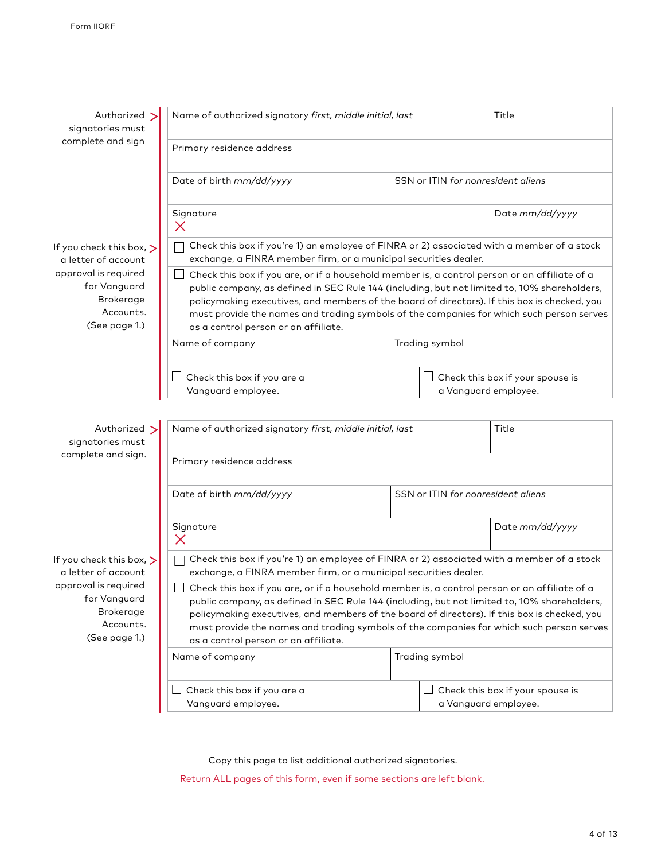| Authorized >                                                                           | Name of authorized signatory first, middle initial, last                                                                                                                                                                                                                                                                                                                                                                                    |                                    | Title                                                    |
|----------------------------------------------------------------------------------------|---------------------------------------------------------------------------------------------------------------------------------------------------------------------------------------------------------------------------------------------------------------------------------------------------------------------------------------------------------------------------------------------------------------------------------------------|------------------------------------|----------------------------------------------------------|
| signatories must                                                                       |                                                                                                                                                                                                                                                                                                                                                                                                                                             |                                    |                                                          |
| complete and sign                                                                      | Primary residence address                                                                                                                                                                                                                                                                                                                                                                                                                   |                                    |                                                          |
|                                                                                        | Date of birth mm/dd/yyyy                                                                                                                                                                                                                                                                                                                                                                                                                    | SSN or ITIN for nonresident aliens |                                                          |
|                                                                                        | Signature<br>$\times$                                                                                                                                                                                                                                                                                                                                                                                                                       |                                    | Date mm/dd/yyyy                                          |
| If you check this box, $\triangleright$<br>a letter of account                         | Check this box if you're 1) an employee of FINRA or 2) associated with a member of a stock<br>exchange, a FINRA member firm, or a municipal securities dealer.                                                                                                                                                                                                                                                                              |                                    |                                                          |
| approval is required<br>for Vanguard<br><b>Brokerage</b><br>Accounts.<br>(See page 1.) | Check this box if you are, or if a household member is, a control person or an affiliate of a<br>public company, as defined in SEC Rule 144 (including, but not limited to, 10% shareholders,<br>policymaking executives, and members of the board of directors). If this box is checked, you<br>must provide the names and trading symbols of the companies for which such person serves<br>as a control person or an affiliate.           |                                    |                                                          |
|                                                                                        | Name of company                                                                                                                                                                                                                                                                                                                                                                                                                             | Trading symbol                     |                                                          |
|                                                                                        | Check this box if you are a<br>Vanguard employee.                                                                                                                                                                                                                                                                                                                                                                                           |                                    | Check this box if your spouse is<br>a Vanguard employee. |
| Authorized ><br>signatories must<br>complete and sign.                                 | Name of authorized signatory first, middle initial, last                                                                                                                                                                                                                                                                                                                                                                                    |                                    | Title                                                    |
|                                                                                        | Primary residence address                                                                                                                                                                                                                                                                                                                                                                                                                   |                                    |                                                          |
|                                                                                        | Date of birth mm/dd/yyyy                                                                                                                                                                                                                                                                                                                                                                                                                    | SSN or ITIN for nonresident aliens |                                                          |
|                                                                                        | Signature<br>$\times$                                                                                                                                                                                                                                                                                                                                                                                                                       |                                    | Date mm/dd/yyyy                                          |
| If you check this box, $\triangleright$<br>a letter of account                         | Check this box if you're 1) an employee of FINRA or 2) associated with a member of a stock<br>exchange, a FINRA member firm, or a municipal securities dealer.                                                                                                                                                                                                                                                                              |                                    |                                                          |
| approval is required<br>for Vanguard<br><b>Brokerage</b><br>Accounts.<br>(See page 1.) | $\Box$<br>Check this box if you are, or if a household member is, a control person or an affiliate of a<br>public company, as defined in SEC Rule 144 (including, but not limited to, 10% shareholders,<br>policymaking executives, and members of the board of directors). If this box is checked, you<br>must provide the names and trading symbols of the companies for which such person serves<br>as a control person or an affiliate. |                                    |                                                          |
|                                                                                        | Name of company                                                                                                                                                                                                                                                                                                                                                                                                                             | Trading symbol                     |                                                          |
|                                                                                        | Check this box if you are a<br>Vanguard employee.                                                                                                                                                                                                                                                                                                                                                                                           |                                    | Check this box if your spouse is<br>a Vanguard employee. |

Copy this page to list additional authorized signatories.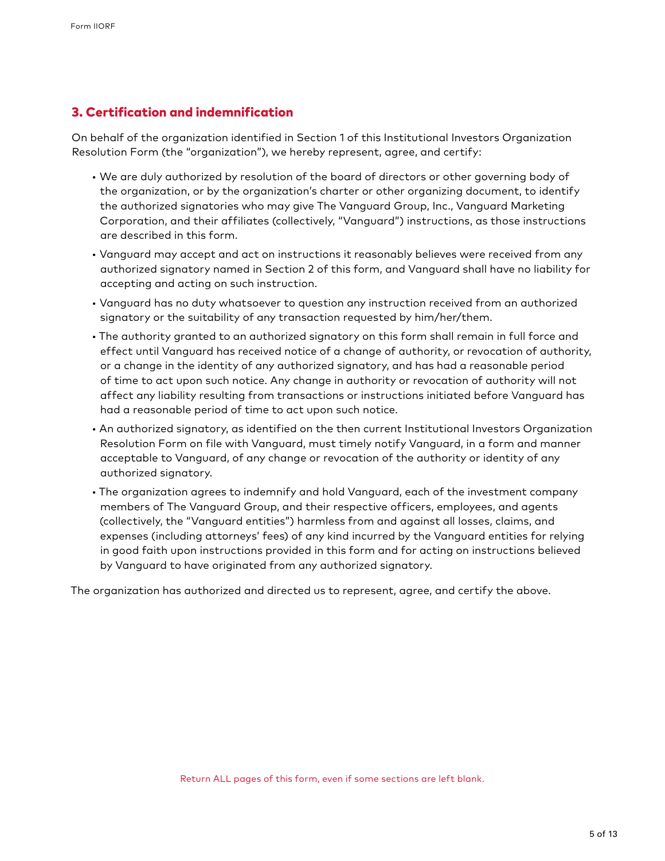### 3. Certification and indemnification

On behalf of the organization identified in Section 1 of this Institutional Investors Organization Resolution Form (the "organization"), we hereby represent, agree, and certify:

- We are duly authorized by resolution of the board of directors or other governing body of the organization, or by the organization's charter or other organizing document, to identify the authorized signatories who may give The Vanguard Group, Inc., Vanguard Marketing Corporation, and their affiliates (collectively, "Vanguard") instructions, as those instructions are described in this form.
- Vanguard may accept and act on instructions it reasonably believes were received from any authorized signatory named in Section 2 of this form, and Vanguard shall have no liability for accepting and acting on such instruction.
- Vanguard has no duty whatsoever to question any instruction received from an authorized signatory or the suitability of any transaction requested by him/her/them.
- The authority granted to an authorized signatory on this form shall remain in full force and effect until Vanguard has received notice of a change of authority, or revocation of authority, or a change in the identity of any authorized signatory, and has had a reasonable period of time to act upon such notice. Any change in authority or revocation of authority will not affect any liability resulting from transactions or instructions initiated before Vanguard has had a reasonable period of time to act upon such notice.
- An authorized signatory, as identified on the then current Institutional Investors Organization Resolution Form on file with Vanguard, must timely notify Vanguard, in a form and manner acceptable to Vanguard, of any change or revocation of the authority or identity of any authorized signatory.
- The organization agrees to indemnify and hold Vanguard, each of the investment company members of The Vanguard Group, and their respective officers, employees, and agents (collectively, the "Vanguard entities") harmless from and against all losses, claims, and expenses (including attorneys' fees) of any kind incurred by the Vanguard entities for relying in good faith upon instructions provided in this form and for acting on instructions believed by Vanguard to have originated from any authorized signatory.

The organization has authorized and directed us to represent, agree, and certify the above.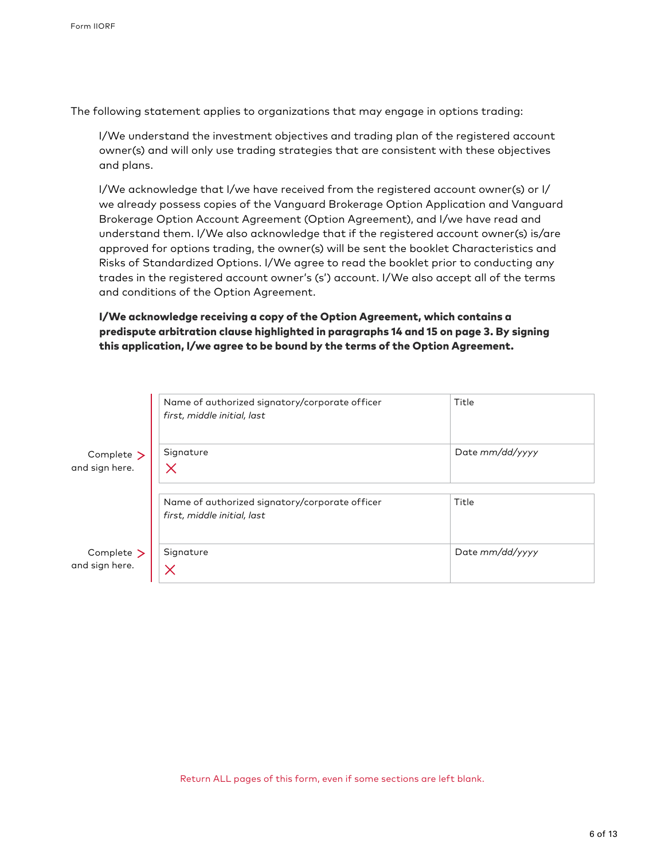The following statement applies to organizations that may engage in options trading:

I/We understand the investment objectives and trading plan of the registered account owner(s) and will only use trading strategies that are consistent with these objectives and plans.

I/We acknowledge that I/we have received from the registered account owner(s) or I/ we already possess copies of the Vanguard Brokerage Option Application and Vanguard Brokerage Option Account Agreement (Option Agreement), and I/we have read and understand them. I/We also acknowledge that if the registered account owner(s) is/are approved for options trading, the owner(s) will be sent the booklet Characteristics and Risks of Standardized Options. I/We agree to read the booklet prior to conducting any trades in the registered account owner's (s') account. I/We also accept all of the terms and conditions of the Option Agreement.

### I/We acknowledge receiving a copy of the Option Agreement, which contains a predispute arbitration clause highlighted in paragraphs 14 and 15 on page 3. By signing this application, I/we agree to be bound by the terms of the Option Agreement.

|                                   | Name of authorized signatory/corporate officer<br>first, middle initial, last | Title           |
|-----------------------------------|-------------------------------------------------------------------------------|-----------------|
| Complete ><br>and sign here.      | Signature                                                                     | Date mm/dd/yyyy |
|                                   | Name of authorized signatory/corporate officer<br>first, middle initial, last | Title           |
| Complete $\geq$<br>and sign here. | Signature                                                                     | Date mm/dd/yyyy |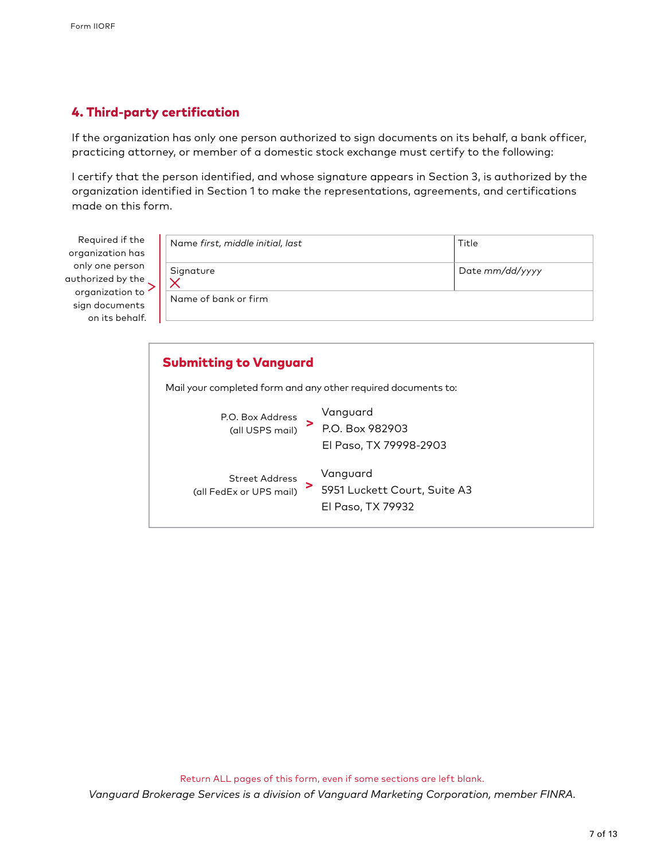## 4. Third-party certification

If the organization has only one person authorized to sign documents on its behalf, a bank officer, practicing attorney, or member of a domestic stock exchange must certify to the following:

I certify that the person identified, and whose signature appears in Section 3, is authorized by the organization identified in Section 1 to make the representations, agreements, and certifications made on this form.

Required if the organization has only one person authorized by the organization to sign documents on its behalf.

| Name first, middle initial, last | Title           |
|----------------------------------|-----------------|
| Signature                        | Date mm/dd/yyyy |
| Name of bank or firm             |                 |

| <b>Submitting to Vanguard</b>                                                                              |
|------------------------------------------------------------------------------------------------------------|
| Mail your completed form and any other required documents to:                                              |
| Vanguard<br>P.O. Box Address<br>(all USPS mail) $\ge$ P.O. Box 982903<br>El Paso, TX 79998-2903            |
| Vanguard<br>Street Address<br>5951 Luckett Court, Suite A3<br>(all FedEx or UPS mail)<br>El Paso, TX 79932 |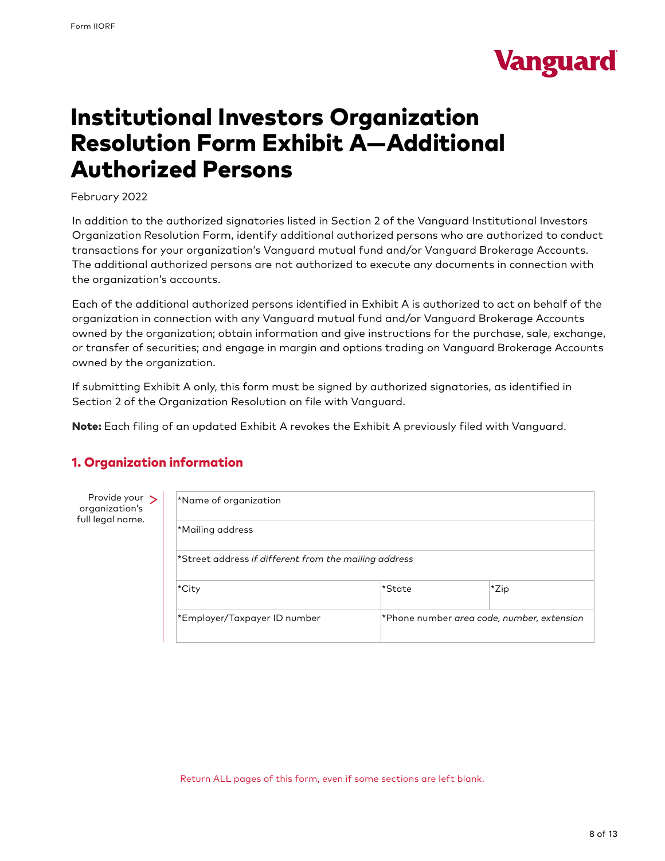

# Institutional Investors Organization Resolution Form Exhibit A—Additional Authorized Persons

February 2022

In addition to the authorized signatories listed in Section 2 of the Vanguard Institutional Investors Organization Resolution Form, identify additional authorized persons who are authorized to conduct transactions for your organization's Vanguard mutual fund and/or Vanguard Brokerage Accounts. The additional authorized persons are not authorized to execute any documents in connection with the organization's accounts.

Each of the additional authorized persons identified in Exhibit A is authorized to act on behalf of the organization in connection with any Vanguard mutual fund and/or Vanguard Brokerage Accounts owned by the organization; obtain information and give instructions for the purchase, sale, exchange, or transfer of securities; and engage in margin and options trading on Vanguard Brokerage Accounts owned by the organization.

If submitting Exhibit A only, this form must be signed by authorized signatories, as identified in Section 2 of the Organization Resolution on file with Vanguard.

Note: Each filing of an updated Exhibit A revokes the Exhibit A previously filed with Vanguard.

## 1. Organization information

Provide your > organization's full legal name.

| *Name of organization                                 |        |                                            |
|-------------------------------------------------------|--------|--------------------------------------------|
| *Mailing address                                      |        |                                            |
| *Street address if different from the mailing address |        |                                            |
| ∣*City                                                | *State | *Zip                                       |
| *Employer/Taxpayer ID number                          |        | *Phone number area code, number, extension |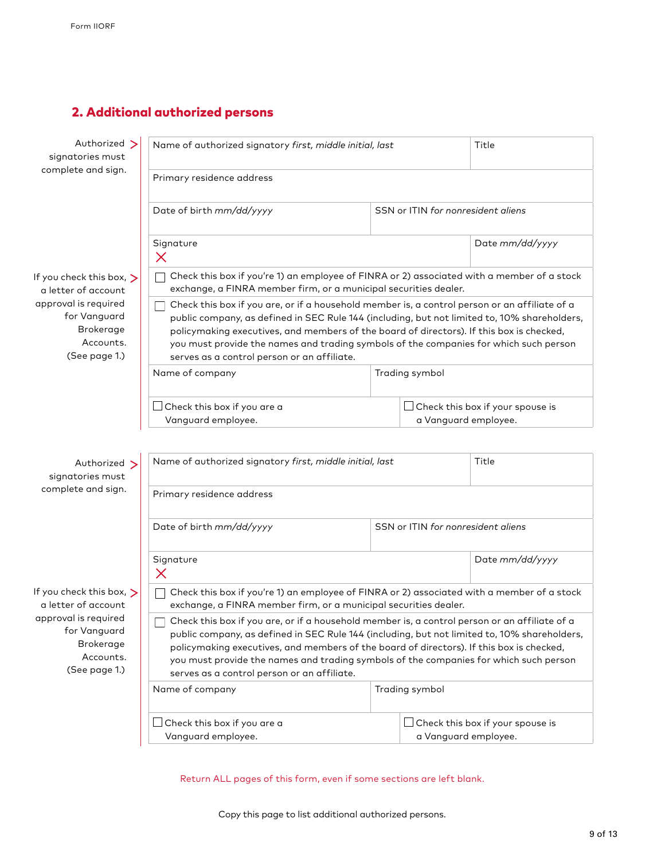## 2. Additional authorized persons

| Authorized ><br>signatories must                                                       | Name of authorized signatory first, middle initial, last                                                                                                                                                                                                                                                                                                                                                                                 |  |                                    | Title                                   |
|----------------------------------------------------------------------------------------|------------------------------------------------------------------------------------------------------------------------------------------------------------------------------------------------------------------------------------------------------------------------------------------------------------------------------------------------------------------------------------------------------------------------------------------|--|------------------------------------|-----------------------------------------|
| complete and sign.                                                                     | Primary residence address                                                                                                                                                                                                                                                                                                                                                                                                                |  |                                    |                                         |
|                                                                                        | Date of birth mm/dd/yyyy                                                                                                                                                                                                                                                                                                                                                                                                                 |  | SSN or ITIN for nonresident aliens |                                         |
|                                                                                        | Signature<br>X                                                                                                                                                                                                                                                                                                                                                                                                                           |  |                                    | Date mm/dd/yyyy                         |
| If you check this box, $\triangleright$<br>a letter of account                         | Check this box if you're 1) an employee of FINRA or 2) associated with a member of a stock<br>exchange, a FINRA member firm, or a municipal securities dealer.                                                                                                                                                                                                                                                                           |  |                                    |                                         |
| approval is required<br>for Vanguard<br><b>Brokerage</b><br>Accounts.<br>(See page 1.) | Check this box if you are, or if a household member is, a control person or an affiliate of a<br>public company, as defined in SEC Rule 144 (including, but not limited to, 10% shareholders,<br>policymaking executives, and members of the board of directors). If this box is checked,<br>you must provide the names and trading symbols of the companies for which such person<br>serves as a control person or an affiliate.        |  |                                    |                                         |
|                                                                                        | Name of company                                                                                                                                                                                                                                                                                                                                                                                                                          |  | Trading symbol                     |                                         |
|                                                                                        | Check this box if you are a<br>Vanguard employee.                                                                                                                                                                                                                                                                                                                                                                                        |  | a Vanguard employee.               | $\Box$ Check this box if your spouse is |
| Authorized ><br>signatories must<br>complete and sign.                                 | Name of authorized signatory first, middle initial, last<br>Primary residence address                                                                                                                                                                                                                                                                                                                                                    |  |                                    | Title                                   |
|                                                                                        |                                                                                                                                                                                                                                                                                                                                                                                                                                          |  |                                    |                                         |
|                                                                                        | Date of birth mm/dd/yyyy                                                                                                                                                                                                                                                                                                                                                                                                                 |  | SSN or ITIN for nonresident aliens |                                         |
|                                                                                        | Signature<br>X                                                                                                                                                                                                                                                                                                                                                                                                                           |  |                                    | Date mm/dd/yyyy                         |
| If you check this box, $\triangleright$<br>a letter of account                         | Check this box if you're 1) an employee of FINRA or 2) associated with a member of a stock<br>exchange, a FINRA member firm, or a municipal securities dealer.                                                                                                                                                                                                                                                                           |  |                                    |                                         |
| approval is required<br>for Vanguard<br><b>Brokerage</b><br>Accounts.<br>(See page 1.) | $\Box$ Check this box if you are, or if a household member is, a control person or an affiliate of a<br>public company, as defined in SEC Rule 144 (including, but not limited to, 10% shareholders,<br>policymaking executives, and members of the board of directors). If this box is checked,<br>you must provide the names and trading symbols of the companies for which such person<br>serves as a control person or an affiliate. |  |                                    |                                         |
|                                                                                        | Name of company                                                                                                                                                                                                                                                                                                                                                                                                                          |  | Trading symbol                     |                                         |
|                                                                                        | Check this box if you are a<br>Vanguard employee.                                                                                                                                                                                                                                                                                                                                                                                        |  | a Vanguard employee.               | $\Box$ Check this box if your spouse is |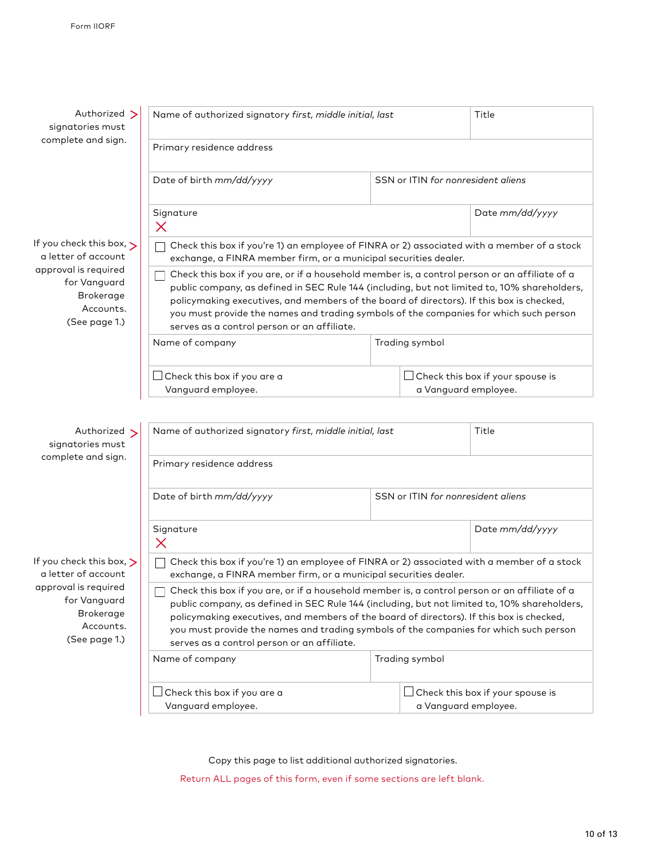| Authorized ><br>signatories must                                                       | Name of authorized signatory first, middle initial, last                                                                                                                                                                                                                                                                                                                                                                          |                                    | Title                                                                                |
|----------------------------------------------------------------------------------------|-----------------------------------------------------------------------------------------------------------------------------------------------------------------------------------------------------------------------------------------------------------------------------------------------------------------------------------------------------------------------------------------------------------------------------------|------------------------------------|--------------------------------------------------------------------------------------|
| complete and sign.                                                                     | Primary residence address                                                                                                                                                                                                                                                                                                                                                                                                         |                                    |                                                                                      |
|                                                                                        | Date of birth mm/dd/yyyy                                                                                                                                                                                                                                                                                                                                                                                                          | SSN or ITIN for nonresident aliens |                                                                                      |
|                                                                                        | Signature<br>$\times$                                                                                                                                                                                                                                                                                                                                                                                                             |                                    | Date mm/dd/yyyy                                                                      |
| If you check this box, $\rightarrow$<br>a letter of account                            | Check this box if you're 1) an employee of FINRA or 2) associated with a member of a stock<br>exchange, a FINRA member firm, or a municipal securities dealer.                                                                                                                                                                                                                                                                    |                                    |                                                                                      |
| approval is required<br>for Vanguard<br><b>Brokerage</b><br>Accounts.<br>(See page 1.) | Check this box if you are, or if a household member is, a control person or an affiliate of a<br>public company, as defined in SEC Rule 144 (including, but not limited to, 10% shareholders,<br>policymaking executives, and members of the board of directors). If this box is checked,<br>you must provide the names and trading symbols of the companies for which such person<br>serves as a control person or an affiliate. |                                    |                                                                                      |
|                                                                                        | Name of company                                                                                                                                                                                                                                                                                                                                                                                                                   | Trading symbol                     |                                                                                      |
|                                                                                        | $\Box$ Check this box if you are a<br>Vanguard employee.                                                                                                                                                                                                                                                                                                                                                                          |                                    | $\operatorname{\mathsf{J}}$ Check this box if your spouse is<br>a Vanguard employee. |
|                                                                                        |                                                                                                                                                                                                                                                                                                                                                                                                                                   |                                    |                                                                                      |
| Authorized ><br>signatories must                                                       | Name of authorized signatory first, middle initial, last                                                                                                                                                                                                                                                                                                                                                                          |                                    | Title                                                                                |
| complete and sign.                                                                     | Primary residence address                                                                                                                                                                                                                                                                                                                                                                                                         |                                    |                                                                                      |
|                                                                                        | Date of birth mm/dd/yyyy                                                                                                                                                                                                                                                                                                                                                                                                          | SSN or ITIN for nonresident aliens |                                                                                      |
|                                                                                        | Signature<br>$\times$                                                                                                                                                                                                                                                                                                                                                                                                             |                                    | Date mm/dd/yyyy                                                                      |
| If you check this box, $\triangleright$<br>a letter of account                         | Check this box if you're 1) an employee of FINRA or 2) associated with a member of a stock<br>exchange, a FINRA member firm, or a municipal securities dealer.                                                                                                                                                                                                                                                                    |                                    |                                                                                      |
| approval is required<br>for Vanguard<br>Brokerage<br>Accounts.<br>(See page 1.)        | Check this box if you are, or if a household member is, a control person or an affiliate of a<br>public company, as defined in SEC Rule 144 (including, but not limited to, 10% shareholders,<br>policymaking executives, and members of the board of directors). If this box is checked,<br>you must provide the names and trading symbols of the companies for which such person<br>serves as a control person or an affiliate. |                                    |                                                                                      |
|                                                                                        | Name of company                                                                                                                                                                                                                                                                                                                                                                                                                   | Trading symbol                     |                                                                                      |
|                                                                                        | $\!\!\!\Box$ Check this box if you are a<br>Vanguard employee.                                                                                                                                                                                                                                                                                                                                                                    |                                    | $\Box$ Check this box if your spouse is<br>a Vanguard employee.                      |

Copy this page to list additional authorized signatories.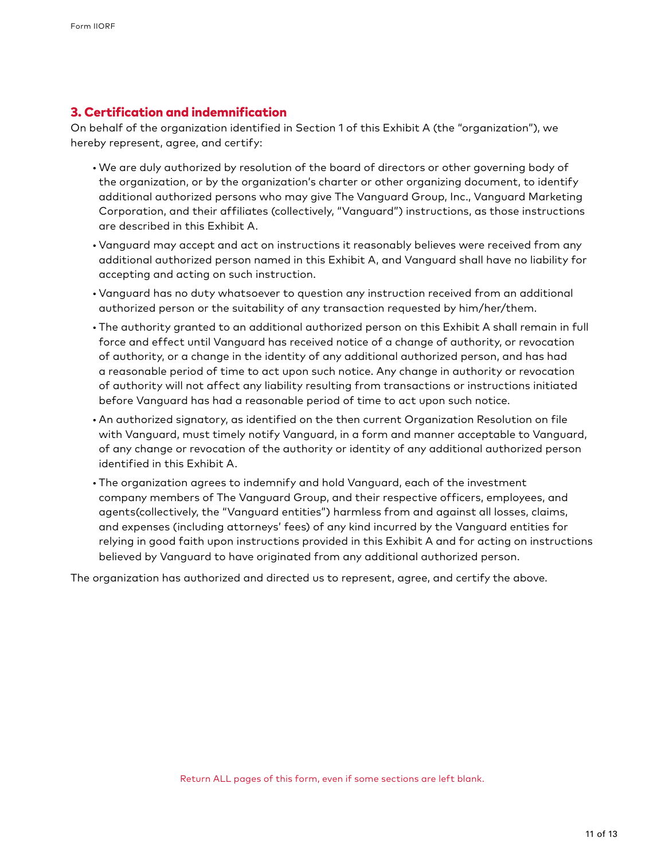### 3. Certification and indemnification

On behalf of the organization identified in Section 1 of this Exhibit A (the "organization"), we hereby represent, agree, and certify:

- •We are duly authorized by resolution of the board of directors or other governing body of the organization, or by the organization's charter or other organizing document, to identify additional authorized persons who may give The Vanguard Group, Inc., Vanguard Marketing Corporation, and their affiliates (collectively, "Vanguard") instructions, as those instructions are described in this Exhibit A.
- •Vanguard may accept and act on instructions it reasonably believes were received from any additional authorized person named in this Exhibit A, and Vanguard shall have no liability for accepting and acting on such instruction.
- •Vanguard has no duty whatsoever to question any instruction received from an additional authorized person or the suitability of any transaction requested by him/her/them.
- The authority granted to an additional authorized person on this Exhibit A shall remain in full force and effect until Vanguard has received notice of a change of authority, or revocation of authority, or a change in the identity of any additional authorized person, and has had a reasonable period of time to act upon such notice. Any change in authority or revocation of authority will not affect any liability resulting from transactions or instructions initiated before Vanguard has had a reasonable period of time to act upon such notice.
- An authorized signatory, as identified on the then current Organization Resolution on file with Vanguard, must timely notify Vanguard, in a form and manner acceptable to Vanguard, of any change or revocation of the authority or identity of any additional authorized person identified in this Exhibit A.
- The organization agrees to indemnify and hold Vanguard, each of the investment company members of The Vanguard Group, and their respective officers, employees, and agents(collectively, the "Vanguard entities") harmless from and against all losses, claims, and expenses (including attorneys' fees) of any kind incurred by the Vanguard entities for relying in good faith upon instructions provided in this Exhibit A and for acting on instructions believed by Vanguard to have originated from any additional authorized person.

The organization has authorized and directed us to represent, agree, and certify the above.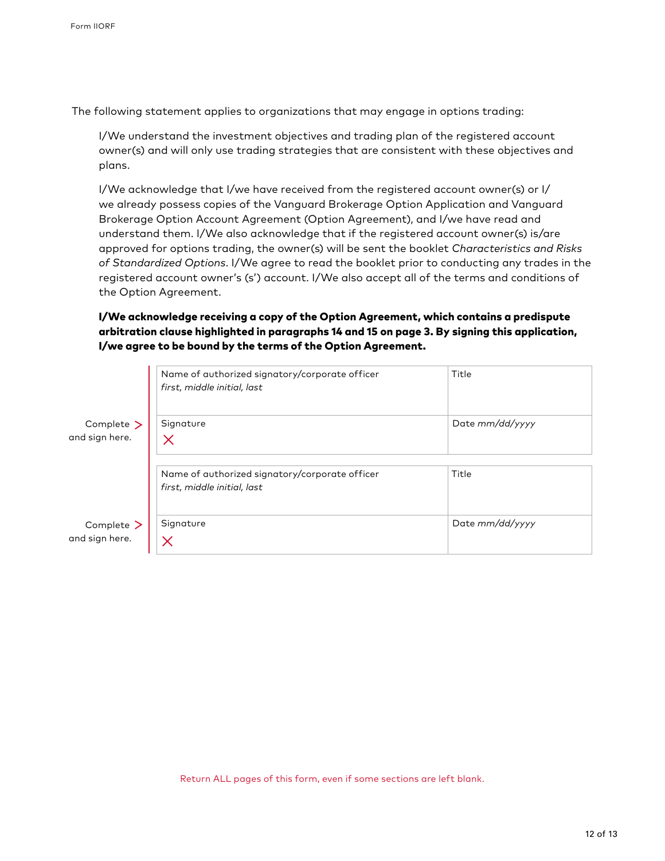The following statement applies to organizations that may engage in options trading:

I/We understand the investment objectives and trading plan of the registered account owner(s) and will only use trading strategies that are consistent with these objectives and plans.

I/We acknowledge that I/we have received from the registered account owner(s) or I/ we already possess copies of the Vanguard Brokerage Option Application and Vanguard Brokerage Option Account Agreement (Option Agreement), and I/we have read and understand them. I/We also acknowledge that if the registered account owner(s) is/are approved for options trading, the owner(s) will be sent the booklet *Characteristics and Risks of Standardized Options*. I/We agree to read the booklet prior to conducting any trades in the registered account owner's (s') account. I/We also accept all of the terms and conditions of the Option Agreement.

### I/We acknowledge receiving a copy of the Option Agreement, which contains a predispute arbitration clause highlighted in paragraphs 14 and 15 on page 3. By signing this application, I/we agree to be bound by the terms of the Option Agreement.

|                              | Name of authorized signatory/corporate officer<br>first, middle initial, last | Title           |
|------------------------------|-------------------------------------------------------------------------------|-----------------|
| Complete ><br>and sign here. | Signature<br>Х                                                                | Date mm/dd/yyyy |
|                              | Name of authorized signatory/corporate officer<br>first, middle initial, last | Title           |
| Complete ><br>and sign here. | Signature                                                                     | Date mm/dd/yyyy |